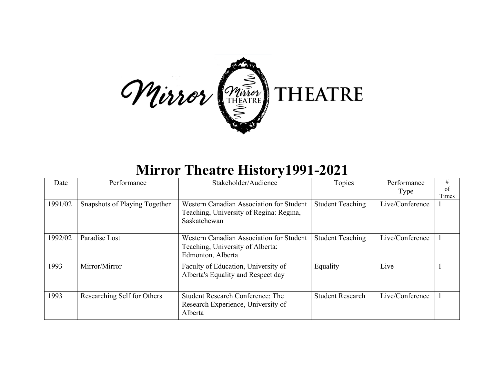

## **Mirror Theatre History1991-2021**

| Date    | Performance                   | Stakeholder/Audience                                                                                | Topics                  | Performance<br>Type | #<br>of<br>Times |
|---------|-------------------------------|-----------------------------------------------------------------------------------------------------|-------------------------|---------------------|------------------|
| 1991/02 | Snapshots of Playing Together | Western Canadian Association for Student<br>Teaching, University of Regina: Regina,<br>Saskatchewan | <b>Student Teaching</b> | Live/Conference     |                  |
| 1992/02 | Paradise Lost                 | Western Canadian Association for Student<br>Teaching, University of Alberta:<br>Edmonton, Alberta   | <b>Student Teaching</b> | Live/Conference     |                  |
| 1993    | Mirror/Mirror                 | Faculty of Education, University of<br>Alberta's Equality and Respect day                           | Equality                | Live                |                  |
| 1993    | Researching Self for Others   | <b>Student Research Conference: The</b><br>Research Experience, University of<br>Alberta            | <b>Student Research</b> | Live/Conference     |                  |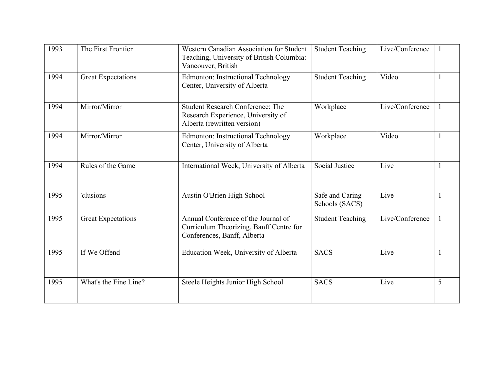| 1993 | The First Frontier        | Western Canadian Association for Student<br>Teaching, University of British Columbia:<br>Vancouver, British   | <b>Student Teaching</b>           | Live/Conference |   |
|------|---------------------------|---------------------------------------------------------------------------------------------------------------|-----------------------------------|-----------------|---|
| 1994 | <b>Great Expectations</b> | <b>Edmonton: Instructional Technology</b><br>Center, University of Alberta                                    | <b>Student Teaching</b>           | Video           |   |
| 1994 | Mirror/Mirror             | <b>Student Research Conference: The</b><br>Research Experience, University of<br>Alberta (rewritten version)  | Workplace                         | Live/Conference |   |
| 1994 | Mirror/Mirror             | <b>Edmonton: Instructional Technology</b><br>Center, University of Alberta                                    | Workplace                         | Video           |   |
| 1994 | Rules of the Game         | International Week, University of Alberta                                                                     | Social Justice                    | Live            |   |
| 1995 | 'clusions                 | Austin O'Brien High School                                                                                    | Safe and Caring<br>Schools (SACS) | Live            |   |
| 1995 | <b>Great Expectations</b> | Annual Conference of the Journal of<br>Curriculum Theorizing, Banff Centre for<br>Conferences, Banff, Alberta | <b>Student Teaching</b>           | Live/Conference |   |
| 1995 | If We Offend              | Education Week, University of Alberta                                                                         | <b>SACS</b>                       | Live            |   |
| 1995 | What's the Fine Line?     | Steele Heights Junior High School                                                                             | <b>SACS</b>                       | Live            | 5 |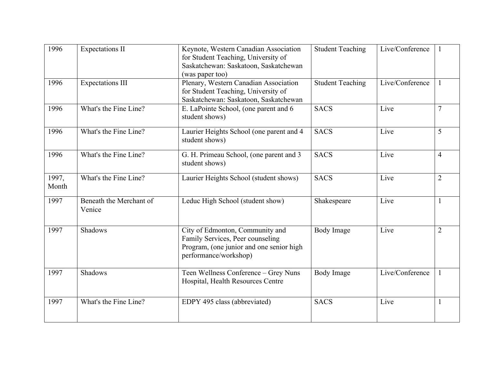| 1996           | <b>Expectations II</b>            | Keynote, Western Canadian Association<br>for Student Teaching, University of<br>Saskatchewan: Saskatoon, Saskatchewan<br>(was paper too) | <b>Student Teaching</b> | Live/Conference |                |
|----------------|-----------------------------------|------------------------------------------------------------------------------------------------------------------------------------------|-------------------------|-----------------|----------------|
| 1996           | <b>Expectations III</b>           | Plenary, Western Canadian Association<br>for Student Teaching, University of<br>Saskatchewan: Saskatoon, Saskatchewan                    | <b>Student Teaching</b> | Live/Conference |                |
| 1996           | What's the Fine Line?             | E. LaPointe School, (one parent and 6<br>student shows)                                                                                  | <b>SACS</b>             | Live            | $\overline{7}$ |
| 1996           | What's the Fine Line?             | Laurier Heights School (one parent and 4<br>student shows)                                                                               | <b>SACS</b>             | Live            | 5              |
| 1996           | What's the Fine Line?             | G. H. Primeau School, (one parent and 3<br>student shows)                                                                                | <b>SACS</b>             | Live            | $\overline{4}$ |
| 1997,<br>Month | What's the Fine Line?             | Laurier Heights School (student shows)                                                                                                   | <b>SACS</b>             | Live            | $\overline{2}$ |
| 1997           | Beneath the Merchant of<br>Venice | Leduc High School (student show)                                                                                                         | Shakespeare             | Live            |                |
| 1997           | Shadows                           | City of Edmonton, Community and<br>Family Services, Peer counseling<br>Program, (one junior and one senior high<br>performance/workshop) | <b>Body Image</b>       | Live            | $\overline{2}$ |
| 1997           | Shadows                           | Teen Wellness Conference - Grey Nuns<br>Hospital, Health Resources Centre                                                                | <b>Body Image</b>       | Live/Conference | 1              |
| 1997           | What's the Fine Line?             | EDPY 495 class (abbreviated)                                                                                                             | <b>SACS</b>             | Live            |                |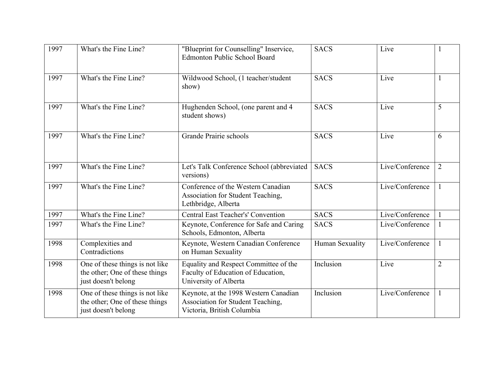| 1997 | What's the Fine Line?                                                                    | "Blueprint for Counselling" Inservice,<br><b>Edmonton Public School Board</b>                            | <b>SACS</b>     | Live            |                |
|------|------------------------------------------------------------------------------------------|----------------------------------------------------------------------------------------------------------|-----------------|-----------------|----------------|
| 1997 | What's the Fine Line?                                                                    | Wildwood School, (1 teacher/student<br>show)                                                             | <b>SACS</b>     | Live            |                |
| 1997 | What's the Fine Line?                                                                    | Hughenden School, (one parent and 4<br>student shows)                                                    | <b>SACS</b>     | Live            | 5              |
| 1997 | What's the Fine Line?                                                                    | Grande Prairie schools                                                                                   | <b>SACS</b>     | Live            | 6              |
| 1997 | What's the Fine Line?                                                                    | Let's Talk Conference School (abbreviated<br>versions)                                                   | <b>SACS</b>     | Live/Conference | $\overline{2}$ |
| 1997 | What's the Fine Line?                                                                    | Conference of the Western Canadian<br>Association for Student Teaching,<br>Lethbridge, Alberta           | <b>SACS</b>     | Live/Conference |                |
| 1997 | What's the Fine Line?                                                                    | <b>Central East Teacher's' Convention</b>                                                                | <b>SACS</b>     | Live/Conference |                |
| 1997 | What's the Fine Line?                                                                    | Keynote, Conference for Safe and Caring<br>Schools, Edmonton, Alberta                                    | <b>SACS</b>     | Live/Conference |                |
| 1998 | Complexities and<br>Contradictions                                                       | Keynote, Western Canadian Conference<br>on Human Sexuality                                               | Human Sexuality | Live/Conference | 1              |
| 1998 | One of these things is not like<br>the other; One of these things<br>just doesn't belong | Equality and Respect Committee of the<br>Faculty of Education of Education,<br>University of Alberta     | Inclusion       | Live            | $\overline{2}$ |
| 1998 | One of these things is not like<br>the other; One of these things<br>just doesn't belong | Keynote, at the 1998 Western Canadian<br>Association for Student Teaching,<br>Victoria, British Columbia | Inclusion       | Live/Conference |                |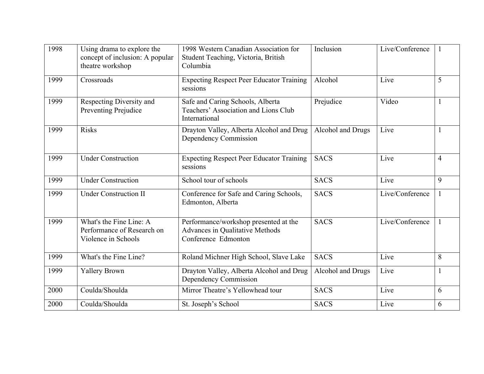| 1998 | Using drama to explore the<br>concept of inclusion: A popular<br>theatre workshop | 1998 Western Canadian Association for<br>Student Teaching, Victoria, British<br>Columbia        | Inclusion         | Live/Conference |   |
|------|-----------------------------------------------------------------------------------|-------------------------------------------------------------------------------------------------|-------------------|-----------------|---|
| 1999 | Crossroads                                                                        | <b>Expecting Respect Peer Educator Training</b><br>sessions                                     | Alcohol           | Live            | 5 |
| 1999 | Respecting Diversity and<br>Preventing Prejudice                                  | Safe and Caring Schools, Alberta<br>Teachers' Association and Lions Club<br>International       | Prejudice         | Video           |   |
| 1999 | <b>Risks</b>                                                                      | Drayton Valley, Alberta Alcohol and Drug<br>Dependency Commission                               | Alcohol and Drugs | Live            |   |
| 1999 | <b>Under Construction</b>                                                         | <b>Expecting Respect Peer Educator Training</b><br>sessions                                     | <b>SACS</b>       | Live            | 4 |
| 1999 | <b>Under Construction</b>                                                         | School tour of schools                                                                          | <b>SACS</b>       | Live            | 9 |
| 1999 | <b>Under Construction II</b>                                                      | Conference for Safe and Caring Schools,<br>Edmonton, Alberta                                    | <b>SACS</b>       | Live/Conference |   |
| 1999 | What's the Fine Line: A<br>Performance of Research on<br>Violence in Schools      | Performance/workshop presented at the<br>Advances in Qualitative Methods<br>Conference Edmonton | <b>SACS</b>       | Live/Conference |   |
| 1999 | What's the Fine Line?                                                             | Roland Michner High School, Slave Lake                                                          | <b>SACS</b>       | Live            | 8 |
| 1999 | <b>Yallery Brown</b>                                                              | Drayton Valley, Alberta Alcohol and Drug<br>Dependency Commission                               | Alcohol and Drugs | Live            |   |
| 2000 | Coulda/Shoulda                                                                    | Mirror Theatre's Yellowhead tour                                                                | <b>SACS</b>       | Live            | 6 |
| 2000 | Coulda/Shoulda                                                                    | St. Joseph's School                                                                             | <b>SACS</b>       | Live            | 6 |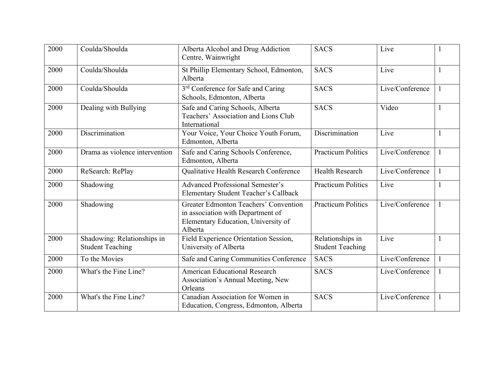| 2000 | Coulda/Shoulda                                         | Alberta Alcohol and Drug Addiction<br>Centre, Wainwright                                                                     | <b>SACS</b>                                 | Live            |  |
|------|--------------------------------------------------------|------------------------------------------------------------------------------------------------------------------------------|---------------------------------------------|-----------------|--|
| 2000 | Coulda/Shoulda                                         | St Phillip Elementary School, Edmonton,<br>Alberta                                                                           | <b>SACS</b>                                 | Live            |  |
| 2000 | Coulda/Shoulda                                         | 3 <sup>rd</sup> Conference for Safe and Caring<br>Schools, Edmonton, Alberta                                                 | <b>SACS</b>                                 | Live/Conference |  |
| 2000 | Dealing with Bullying                                  | Safe and Caring Schools, Alberta<br>Teachers' Association and Lions Club<br>International                                    | <b>SACS</b>                                 | Video           |  |
| 2000 | Discrimination                                         | Your Voice, Your Choice Youth Forum,<br>Edmonton, Alberta                                                                    | Discrimination                              | Live            |  |
| 2000 | Drama as violence intervention                         | Safe and Caring Schools Conference,<br>Edmonton, Alberta                                                                     | <b>Practicum Politics</b>                   | Live/Conference |  |
| 2000 | ReSearch: RePlay                                       | Qualitative Health Research Conference                                                                                       | <b>Health Research</b>                      | Live/Conference |  |
| 2000 | Shadowing                                              | <b>Advanced Professional Semester's</b><br>Elementary Student Teacher's Callback                                             | <b>Practicum Politics</b>                   | Live            |  |
| 2000 | Shadowing                                              | Greater Edmonton Teachers' Convention<br>in association with Department of<br>Elementary Education, University of<br>Alberta | <b>Practicum Politics</b>                   | Live/Conference |  |
| 2000 | Shadowing: Relationships in<br><b>Student Teaching</b> | Field Experience Orientation Session,<br>University of Alberta                                                               | Relationships in<br><b>Student Teaching</b> | Live            |  |
| 2000 | To the Movies                                          | Safe and Caring Communities Conference                                                                                       | <b>SACS</b>                                 | Live/Conference |  |
| 2000 | What's the Fine Line?                                  | <b>American Educational Research</b><br>Association's Annual Meeting, New<br>Orleans                                         | <b>SACS</b>                                 | Live/Conference |  |
| 2000 | What's the Fine Line?                                  | Canadian Association for Women in<br>Education, Congress, Edmonton, Alberta                                                  | <b>SACS</b>                                 | Live/Conference |  |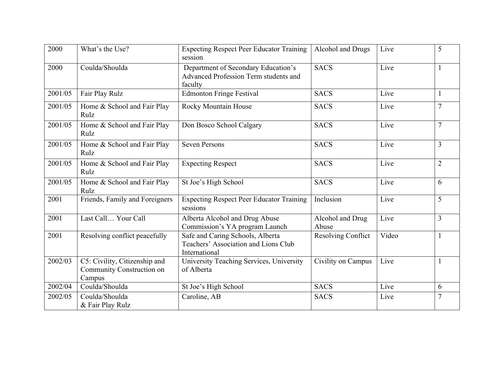| 2000    | What's the Use?                                                      | <b>Expecting Respect Peer Educator Training</b><br>session                                | Alcohol and Drugs         | Live  | 5              |
|---------|----------------------------------------------------------------------|-------------------------------------------------------------------------------------------|---------------------------|-------|----------------|
| 2000    | Coulda/Shoulda                                                       | Department of Secondary Education's<br>Advanced Profession Term students and<br>faculty   | <b>SACS</b>               | Live  |                |
| 2001/05 | Fair Play Rulz                                                       | <b>Edmonton Fringe Festival</b>                                                           | <b>SACS</b>               | Live  |                |
| 2001/05 | Home & School and Fair Play<br>Rulz                                  | Rocky Mountain House                                                                      | <b>SACS</b>               | Live  | $\overline{7}$ |
| 2001/05 | Home & School and Fair Play<br>Rulz                                  | Don Bosco School Calgary                                                                  | <b>SACS</b>               | Live  | $\overline{7}$ |
| 2001/05 | Home & School and Fair Play<br>Rulz                                  | <b>Seven Persons</b>                                                                      | <b>SACS</b>               | Live  | 3              |
| 2001/05 | Home & School and Fair Play<br>Rulz                                  | <b>Expecting Respect</b>                                                                  | <b>SACS</b>               | Live  | $\overline{2}$ |
| 2001/05 | Home & School and Fair Play<br>Rulz                                  | St Joe's High School                                                                      | <b>SACS</b>               | Live  | 6              |
| 2001    | Friends, Family and Foreigners                                       | <b>Expecting Respect Peer Educator Training</b><br>sessions                               | Inclusion                 | Live  | 5              |
| 2001    | Last Call Your Call                                                  | Alberta Alcohol and Drug Abuse<br>Commission's YA program Launch                          | Alcohol and Drug<br>Abuse | Live  | 3              |
| 2001    | Resolving conflict peacefully                                        | Safe and Caring Schools, Alberta<br>Teachers' Association and Lions Club<br>International | <b>Resolving Conflict</b> | Video | 1              |
| 2002/03 | C5: Civility, Citizenship and<br>Community Construction on<br>Campus | University Teaching Services, University<br>of Alberta                                    | Civility on Campus        | Live  |                |
| 2002/04 | Coulda/Shoulda                                                       | St Joe's High School                                                                      | <b>SACS</b>               | Live  | 6              |
| 2002/05 | Coulda/Shoulda<br>& Fair Play Rulz                                   | Caroline, AB                                                                              | <b>SACS</b>               | Live  |                |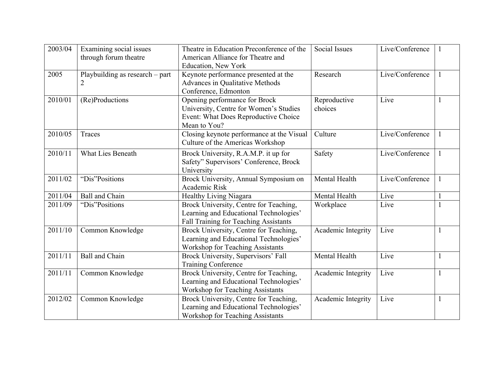| 2003/04 | Examining social issues<br>through forum theatre | Theatre in Education Preconference of the<br>American Alliance for Theatre and<br>Education, New York                           | <b>Social Issues</b>    | Live/Conference |   |
|---------|--------------------------------------------------|---------------------------------------------------------------------------------------------------------------------------------|-------------------------|-----------------|---|
| 2005    | Playbuilding as research - part                  | Keynote performance presented at the<br>Advances in Qualitative Methods<br>Conference, Edmonton                                 | Research                | Live/Conference |   |
| 2010/01 | (Re)Productions                                  | Opening performance for Brock<br>University, Centre for Women's Studies<br>Event: What Does Reproductive Choice<br>Mean to You? | Reproductive<br>choices | Live            |   |
| 2010/05 | Traces                                           | Closing keynote performance at the Visual<br>Culture of the Americas Workshop                                                   | Culture                 | Live/Conference |   |
| 2010/11 | What Lies Beneath                                | Brock University, R.A.M.P. it up for<br>Safety" Supervisors' Conference, Brock<br>University                                    | Safety                  | Live/Conference |   |
| 2011/02 | "Dis"Positions                                   | Brock University, Annual Symposium on<br>Academic Risk                                                                          | Mental Health           | Live/Conference | 1 |
| 2011/04 | <b>Ball and Chain</b>                            | Healthy Living Niagara                                                                                                          | Mental Health           | Live            |   |
| 2011/09 | "Dis"Positions                                   | Brock University, Centre for Teaching,<br>Learning and Educational Technologies'<br>Fall Training for Teaching Assistants       | Workplace               | Live            |   |
| 2011/10 | Common Knowledge                                 | Brock University, Centre for Teaching,<br>Learning and Educational Technologies'<br>Workshop for Teaching Assistants            | Academic Integrity      | Live            |   |
| 2011/11 | Ball and Chain                                   | Brock University, Supervisors' Fall<br><b>Training Conference</b>                                                               | Mental Health           | Live            | 1 |
| 2011/11 | Common Knowledge                                 | Brock University, Centre for Teaching,<br>Learning and Educational Technologies'<br>Workshop for Teaching Assistants            | Academic Integrity      | Live            |   |
| 2012/02 | Common Knowledge                                 | Brock University, Centre for Teaching,<br>Learning and Educational Technologies'<br><b>Workshop for Teaching Assistants</b>     | Academic Integrity      | Live            |   |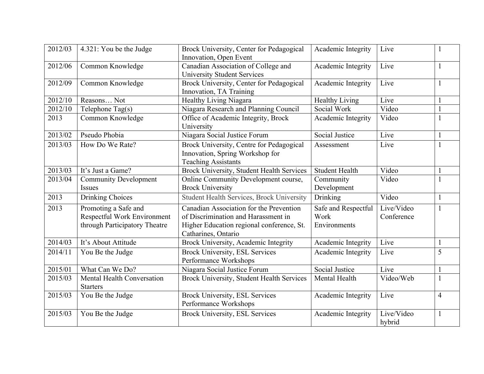| 2012/03 | 4.321: You be the Judge                                                              | Brock University, Center for Pedagogical<br>Innovation, Open Event                                                                                 | Academic Integrity                          | Live                     |   |
|---------|--------------------------------------------------------------------------------------|----------------------------------------------------------------------------------------------------------------------------------------------------|---------------------------------------------|--------------------------|---|
| 2012/06 | Common Knowledge                                                                     | Canadian Association of College and<br><b>University Student Services</b>                                                                          | Academic Integrity                          | Live                     |   |
| 2012/09 | Common Knowledge                                                                     | Brock University, Center for Pedagogical<br>Innovation, TA Training                                                                                | Academic Integrity                          | Live                     |   |
| 2012/10 | Reasons Not                                                                          | Healthy Living Niagara                                                                                                                             | <b>Healthy Living</b>                       | Live                     |   |
| 2012/10 | Telephone Tag(s)                                                                     | Niagara Research and Planning Council                                                                                                              | Social Work                                 | Video                    |   |
| 2013    | Common Knowledge                                                                     | Office of Academic Integrity, Brock<br>University                                                                                                  | Academic Integrity                          | Video                    |   |
| 2013/02 | Pseudo Phobia                                                                        | Niagara Social Justice Forum                                                                                                                       | Social Justice                              | Live                     |   |
| 2013/03 | How Do We Rate?                                                                      | Brock University, Centre for Pedagogical<br>Innovation, Spring Workshop for<br><b>Teaching Assistants</b>                                          | Assessment                                  | Live                     |   |
| 2013/03 | It's Just a Game?                                                                    | Brock University, Student Health Services                                                                                                          | <b>Student Health</b>                       | Video                    |   |
| 2013/04 | <b>Community Development</b><br><b>Issues</b>                                        | Online Community Development course,<br><b>Brock University</b>                                                                                    | Community<br>Development                    | Video                    |   |
| 2013    | Drinking Choices                                                                     | <b>Student Health Services, Brock University</b>                                                                                                   | Drinking                                    | Video                    |   |
| 2013    | Promoting a Safe and<br>Respectful Work Environment<br>through Participatory Theatre | Canadian Association for the Prevention<br>of Discrimination and Harassment in<br>Higher Education regional conference, St.<br>Catharines, Ontario | Safe and Respectful<br>Work<br>Environments | Live/Video<br>Conference | 1 |
| 2014/03 | It's About Attitude                                                                  | Brock University, Academic Integrity                                                                                                               | Academic Integrity                          | Live                     |   |
| 2014/11 | You Be the Judge                                                                     | <b>Brock University, ESL Services</b><br>Performance Workshops                                                                                     | Academic Integrity                          | Live                     | 5 |
| 2015/01 | What Can We Do?                                                                      | Niagara Social Justice Forum                                                                                                                       | Social Justice                              | Live                     |   |
| 2015/03 | <b>Mental Health Conversation</b><br><b>Starters</b>                                 | Brock University, Student Health Services                                                                                                          | Mental Health                               | Video/Web                |   |
| 2015/03 | You Be the Judge                                                                     | <b>Brock University, ESL Services</b><br>Performance Workshops                                                                                     | Academic Integrity                          | Live                     | 4 |
| 2015/03 | You Be the Judge                                                                     | <b>Brock University, ESL Services</b>                                                                                                              | Academic Integrity                          | Live/Video<br>hybrid     |   |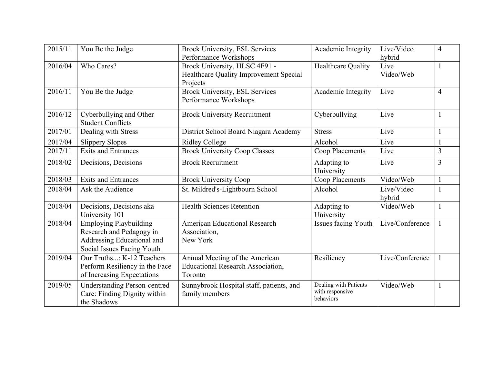| 2015/11 | You Be the Judge                    | <b>Brock University, ESL Services</b>    | Academic Integrity    | Live/Video      | $\overline{4}$ |
|---------|-------------------------------------|------------------------------------------|-----------------------|-----------------|----------------|
|         |                                     |                                          |                       |                 |                |
|         |                                     | Performance Workshops                    |                       | hybrid          |                |
| 2016/04 | Who Cares?                          | Brock University, HLSC 4F91 -            | Healthcare Quality    | Live            |                |
|         |                                     | Healthcare Quality Improvement Special   |                       | Video/Web       |                |
|         |                                     | Projects                                 |                       |                 |                |
| 2016/11 | You Be the Judge                    | <b>Brock University, ESL Services</b>    | Academic Integrity    | Live            | $\overline{4}$ |
|         |                                     | Performance Workshops                    |                       |                 |                |
|         |                                     |                                          |                       |                 |                |
| 2016/12 | Cyberbullying and Other             | <b>Brock University Recruitment</b>      | Cyberbullying         | Live            |                |
|         | <b>Student Conflicts</b>            |                                          |                       |                 |                |
| 2017/01 | Dealing with Stress                 | District School Board Niagara Academy    | <b>Stress</b>         | Live            |                |
|         |                                     |                                          |                       |                 |                |
| 2017/04 | <b>Slippery Slopes</b>              | <b>Ridley College</b>                    | Alcohol               | Live            |                |
| 2017/11 | <b>Exits and Entrances</b>          | <b>Brock University Coop Classes</b>     | Coop Placements       | Live            | $\overline{3}$ |
| 2018/02 | Decisions, Decisions                | <b>Brock Recruitment</b>                 | Adapting to           | Live            | 3              |
|         |                                     |                                          | University            |                 |                |
| 2018/03 | <b>Exits and Entrances</b>          | <b>Brock University Coop</b>             | Coop Placements       | Video/Web       |                |
| 2018/04 | Ask the Audience                    |                                          | Alcohol               | Live/Video      |                |
|         |                                     | St. Mildred's-Lightbourn School          |                       |                 |                |
|         |                                     |                                          |                       | hybrid          |                |
| 2018/04 | Decisions, Decisions aka            | <b>Health Sciences Retention</b>         | Adapting to           | Video/Web       |                |
|         | University 101                      |                                          | University            |                 |                |
| 2018/04 | <b>Employing Playbuilding</b>       | <b>American Educational Research</b>     | Issues facing Youth   | Live/Conference |                |
|         | Research and Pedagogy in            | Association,                             |                       |                 |                |
|         | Addressing Educational and          | New York                                 |                       |                 |                |
|         | Social Issues Facing Youth          |                                          |                       |                 |                |
| 2019/04 | Our Truths: K-12 Teachers           | Annual Meeting of the American           | Resiliency            | Live/Conference |                |
|         |                                     |                                          |                       |                 |                |
|         | Perform Resiliency in the Face      | <b>Educational Research Association,</b> |                       |                 |                |
|         | of Increasing Expectations          | Toronto                                  |                       |                 |                |
| 2019/05 | <b>Understanding Person-centred</b> | Sunnybrook Hospital staff, patients, and | Dealing with Patients | Video/Web       |                |
|         | Care: Finding Dignity within        | family members                           | with responsive       |                 |                |
|         | the Shadows                         |                                          | behaviors             |                 |                |